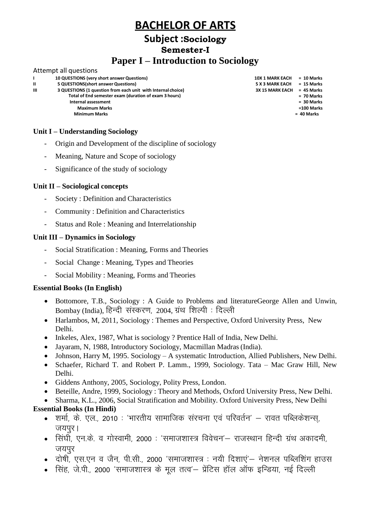### **Subject :Sociology Semester-I**

### **Paper I – Introduction to Sociology**

#### Attempt all questions

|   | 10 QUESTIONS (very short answer Questions)                   | <b>10X 1 MARK EACH</b> | $= 10$ Marks |
|---|--------------------------------------------------------------|------------------------|--------------|
| Ш | 5 QUESTIONS (short answer Questions)                         | 5 X 3 MARK EACH        | = 15 Marks   |
| Ш | 3 QUESTIONS (1 question from each unit with Internal choice) | <b>3X 15 MARK EACH</b> | = 45 Marks   |
|   | Total of End semester exam (duration of exam 3 hours)        |                        | $= 70$ Marks |
|   | Internal assessment                                          |                        | $= 30$ Marks |
|   | <b>Maximum Marks</b>                                         |                        | $=100$ Marks |
|   | <b>Minimum Marks</b>                                         |                        | = 40 Marks   |
|   |                                                              |                        |              |

#### **Unit I – Understanding Sociology**

- Origin and Development of the discipline of sociology
- Meaning, Nature and Scope of sociology
- Significance of the study of sociology

#### **Unit II – Sociological concepts**

- Society : Definition and Characteristics
- Community : Definition and Characteristics
- Status and Role : Meaning and Interrelationship

#### **Unit III – Dynamics in Sociology**

- Social Stratification : Meaning, Forms and Theories
- Social Change : Meaning, Types and Theories
- Social Mobility : Meaning, Forms and Theories

#### **Essential Books (In English)**

- Bottomore, T.B., Sociology : A Guide to Problems and literatureGeorge Allen and Unwin, Bombay (India), हिन्दी संस्करण, 2004, ग्रंथ शिल्पी : दिल्ली
- Harlambos, M, 2011, Sociology : Themes and Perspective, Oxford University Press, New Delhi.
- Inkeles, Alex, 1987, What is sociology ? Prentice Hall of India, New Delhi.
- Jayaram, N, 1988, Introductory Sociology, Macmillan Madras (India).
- Johnson, Harry M, 1995. Sociology A systematic Introduction, Allied Publishers, New Delhi.
- Schaefer, Richard T. and Robert P. Lamm., 1999, Sociology. Tata Mac Graw Hill, New Delhi.
- Giddens Anthony, 2005, Sociology, Polity Press, London.
- Beteille, Andre, 1999, Sociology : Theory and Methods, Oxford University Press, New Delhi.
- Sharma, K.L., 2006, Social Stratification and Mobility. Oxford University Press, New Delhi

- <u>. शर्मा, के. एल., 2010 : 'भारतीय सामाजिक संरचना एवं परिवर्तन' रावत पब्लिकेशन्स, </u> जयपुर।
- सिंघी, एन.के. व गोस्वामी, 2000 : 'समाजशास्त्र विवेचन'– राजस्थान हिन्दी ग्रंथ अकादमी, जयपर
- दोषी, एस.एन व जैन, पी.सी., 2000 'समाजशास्त्र : नयी दिशाएं'— नेशनल पब्लिशिंग हाउस
- सिंह, जे.पी., 2000 'समाजशास्त्र के मूल तत्व'– प्रेंटिस हॉल ऑफ इन्डिया, नई दिल्ली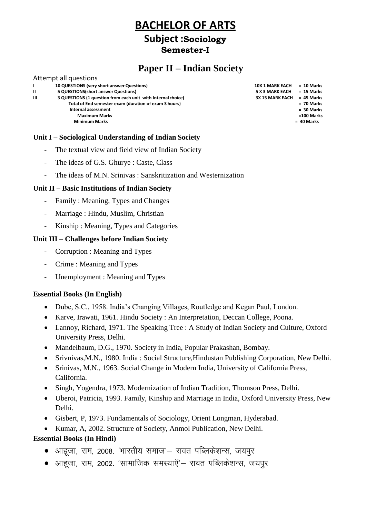### **Subject :Sociology Semester-I**

### **Paper II – Indian Society**

#### Attempt all questions **I II 10 QUESTIONS (very short answerQuestions) 5 QUESTIONS(short answer Questions) 10X 1 MARK EACH = 10 Marks 5 X 3 MARK EACH = 15 Marks III 3 QUESTIONS (1 question from each unit with Internal choice) Total of End semester exam (duration of exam 3 hours) Internal assessment 3X 15 MARK EACH = 45 Marks = 70 Marks = 30 Marks Maximum Marks Minimum Marks =100 Marks = 40 Marks**

#### **Unit I – Sociological Understanding of Indian Society**

- The textual view and field view of Indian Society
- The ideas of G.S. Ghurye : Caste, Class
- The ideas of M.N. Srinivas : Sanskritization and Westernization

#### **Unit II – Basic Institutions of Indian Society**

- Family : Meaning, Types and Changes
- Marriage : Hindu, Muslim, Christian
- Kinship : Meaning, Types and Categories

#### **Unit III – Challenges before Indian Society**

- Corruption : Meaning and Types
- Crime : Meaning and Types
- Unemployment : Meaning and Types

#### **Essential Books (In English)**

- Dube, S.C., 1958. India's Changing Villages, Routledge and Kegan Paul, London.
- Karve, Irawati, 1961. Hindu Society : An Interpretation, Deccan College, Poona.
- Lannoy, Richard, 1971. The Speaking Tree : A Study of Indian Society and Culture, Oxford University Press, Delhi.
- Mandelbaum, D.G., 1970. Society in India, Popular Prakashan, Bombay.
- Srivnivas,M.N., 1980. India : Social Structure,Hindustan Publishing Corporation, New Delhi.
- Srinivas, M.N., 1963. Social Change in Modern India, University of California Press, California.
- Singh, Yogendra, 1973. Modernization of Indian Tradition, Thomson Press, Delhi.
- Uberoi, Patricia, 1993. Family, Kinship and Marriage in India, Oxford University Press, New Delhi.
- Gisbert, P, 1973. Fundamentals of Sociology, Orient Longman, Hyderabad.
- Kumar, A, 2002. Structure of Society, Anmol Publication, New Delhi.

- आहूजा, राम, 2008. 'भारतीय समाज'— रावत पब्लिकेशन्स, जयपूर
- आहूजा, राम, 2002. 'सामाजिक समस्याऍ'– रावत पब्लिकेशन्स, जयपुर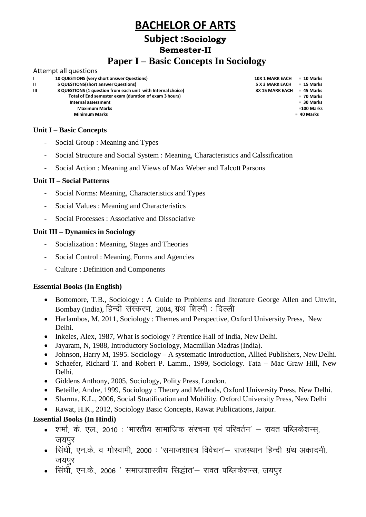### **Subject :Sociology Semester-II**

### **Paper I – Basic Concepts In Sociology**

#### Attempt all questions

|   | 10 QUESTIONS (very short answer Questions)                   | <b>10X 1 MARK EACH</b> | $= 10$ Marks |
|---|--------------------------------------------------------------|------------------------|--------------|
| Ш | 5 QUESTIONS (short answer Questions)                         | <b>5 X 3 MARK EACH</b> | $= 15$ Marks |
| ш | 3 QUESTIONS (1 question from each unit with Internal choice) | <b>3X 15 MARK EACH</b> | $= 45$ Marks |
|   | Total of End semester exam (duration of exam 3 hours)        |                        | $= 70$ Marks |
|   | Internal assessment                                          |                        | $= 30$ Marks |
|   | <b>Maximum Marks</b>                                         |                        | =100 Marks   |
|   | <b>Minimum Marks</b>                                         |                        | = 40 Marks   |
|   |                                                              |                        |              |
|   |                                                              |                        |              |

#### **Unit I – Basic Concepts**

- Social Group : Meaning and Types
- Social Structure and Social System : Meaning, Characteristics and Calssification
- Social Action : Meaning and Views of Max Weber and Talcott Parsons

#### **Unit II – Social Patterns**

- Social Norms: Meaning, Characteristics and Types
- Social Values : Meaning and Characteristics
- Social Processes : Associative and Dissociative

#### **Unit III – Dynamics in Sociology**

- Socialization : Meaning, Stages and Theories
- Social Control : Meaning, Forms and Agencies
- Culture : Definition and Components

#### **Essential Books (In English)**

- Bottomore, T.B., Sociology : A Guide to Problems and literature George Allen and Unwin, Bombay (India), हिन्दी संस्करण, 2004, ग्रंथ शिल्पी : दिल्ली
- Harlambos, M, 2011, Sociology : Themes and Perspective, Oxford University Press, New Delhi.
- Inkeles, Alex, 1987, What is sociology ? Prentice Hall of India, New Delhi.
- Jayaram, N, 1988, Introductory Sociology, Macmillan Madras(India).
- Johnson, Harry M, 1995. Sociology A systematic Introduction, Allied Publishers, New Delhi.
- Schaefer, Richard T. and Robert P. Lamm., 1999, Sociology. Tata Mac Graw Hill, New Delhi.
- Giddens Anthony, 2005, Sociology, Polity Press, London.
- Beteille, Andre, 1999, Sociology : Theory and Methods, Oxford University Press, New Delhi.
- Sharma, K.L., 2006, Social Stratification and Mobility. Oxford University Press, New Delhi
- Rawat, H.K., 2012, Sociology Basic Concepts, Rawat Publications, Jaipur.

- शर्मा, के. एल., 2010 : 'भारतीय सामाजिक संरचना एवं परिवर्तन' रावत पब्लिकेशन्स, जयपुर
- सिंघी, एन.के. व गोस्वामी, 2000 : 'समाजशास्त्र विवेचन'– राजस्थान हिन्दी ग्रंथ अकादमी, जयपर
- िसिंघी, एन.के., 2006 ' समाजशास्त्रीय सिद्धांत'— रावत पब्लिकेशन्स, जयपूर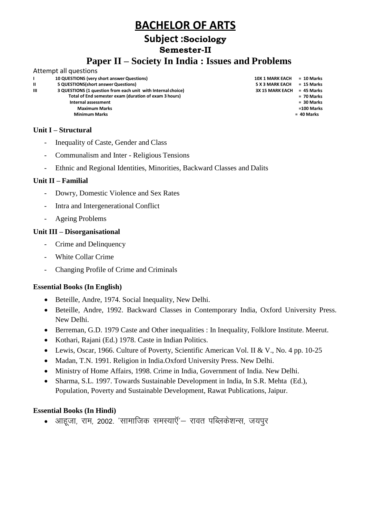### **Subject :Sociology**

### **Semester-II**

### **Paper II – Society In India : Issues and Problems**

#### Attempt all questions **I II 10 QUESTIONS (very short answerQuestions) 5 QUESTIONS(short answer Questions) III 3 QUESTIONS (1 question from each unit with Internal choice) Total of End semester exam (duration of exam 3 hours) Internal assessment Maximum Marks Minimum Marks**

### **Unit I – Structural**

- Inequality of Caste, Gender and Class
- Communalism and Inter Religious Tensions
- Ethnic and Regional Identities, Minorities, Backward Classes and Dalits

#### **Unit II – Familial**

- Dowry, Domestic Violence and Sex Rates
- Intra and Intergenerational Conflict
- Ageing Problems

#### **Unit III – Disorganisational**

- Crime and Delinquency
- White Collar Crime
- Changing Profile of Crime and Criminals

#### **Essential Books (In English)**

- Beteille, Andre, 1974. Social Inequality, New Delhi.
- Beteille, Andre, 1992. Backward Classes in Contemporary India, Oxford University Press. New Delhi.
- Berreman, G.D. 1979 Caste and Other inequalities : In Inequality, Folklore Institute. Meerut.
- Kothari, Rajani (Ed.) 1978. Caste in Indian Politics.
- Lewis, Oscar, 1966. Culture of Poverty, Scientific American Vol. II & V., No. 4 pp. 10-25
- Madan, T.N. 1991. Religion in India.Oxford University Press. New Delhi.
- Ministry of Home Affairs, 1998. Crime in India, Government of India. New Delhi.
- Sharma, S.L. 1997. Towards Sustainable Development in India, In S.R. Mehta (Ed.), Population, Poverty and Sustainable Development, Rawat Publications, Jaipur.

#### **Essential Books (In Hindi)**

• आहूजा, राम, 2002. 'सामाजिक समस्याऍ'— रावत पब्लिकेशन्स, जयपूर

**10X 1 MARK EACH = 10 Marks 5 X 3 MARK EACH = 15 Marks 3X 15 MARK EACH = 45 Marks = 70 Marks = 30 Marks =100 Marks = 40 Marks**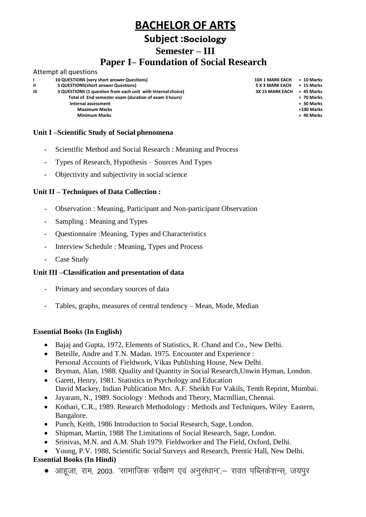### **Subject :Sociology**

**Semester – III**

### **Paper I– Foundation of Social Research**

|   | Attempt all questions                                        |                        |              |
|---|--------------------------------------------------------------|------------------------|--------------|
|   | 10 QUESTIONS (very short answer Questions)                   | <b>10X 1 MARK EACH</b> | = 10 Marks   |
| п | 5 QUESTIONS (short answer Questions)                         | 5 X 3 MARK EACH        | = 15 Marks   |
| Ш | 3 QUESTIONS (1 question from each unit with Internal choice) | <b>3X 15 MARK EACH</b> | $= 45$ Marks |
|   | Total of End semester exam (duration of exam 3 hours)        |                        | = 70 Marks   |
|   | Internal assessment                                          |                        | $= 30$ Marks |
|   | <b>Maximum Marks</b>                                         |                        | $=100$ Marks |
|   | <b>Minimum Marks</b>                                         |                        | = 40 Marks   |
|   |                                                              |                        |              |

#### **Unit I –Scientific Study of Social phenomena**

- Scientific Method and Social Research : Meaning and Process
- Types of Research, Hypothesis Sources And Types
- Objectivity and subjectivity in social science

#### **Unit II – Techniques of Data Collection :**

- Observation : Meaning, Participant and Non-participant Observation
- Sampling : Meaning and Types
- Questionnaire :Meaning, Types and Characteristics
- Interview Schedule : Meaning, Types and Process
- Case Study

#### **Unit III –Classification and presentation of data**

- Primary and secondary sources of data
- Tables, graphs, measures of central tendency Mean, Mode, Median

#### **Essential Books (In English)**

- Bajaj and Gupta, 1972, Elements of Statistics, R. Chand and Co., New Delhi.
- Beteille, Andre and T.N. Madan. 1975. Encounter and Experience : Personal Accounts of Fieldwork, Vikas Publishing House, New Delhi.
- Bryman, Alan, 1988. Quality and Quantity in Social Research,Unwin Hyman, London.
- Garett, Henry, 1981. Statistics in Psychology and Education David Mackey, Indian Publication Mrs. A.F. Sheikh For Vakils, Tenth Reprint, Mumbai.
- Jayaram, N., 1989. Sociology : Methods and Theory, Macmllian, Chennai.
- Kothari, C.R., 1989. Research Methodology : Methods and Techniques, Wiley Eastern, Bangalore.
- Punch, Keith, 1986 Introduction to Social Research, Sage, London.
- Shipman, Martin, 1988 The Limitations of Social Research, Sage, London.
- Srinivas, M.N. and A.M. Shah 1979. Fieldworker and The Field, Oxford, Delhi.
- Young, P.V. 1988, Scientific Social Surveys and Research, Prentic Hall, New Delhi.

#### **Essential Books (In Hindi)**

 $\bullet$  आहजा, राम, 2003. 'सामाजिक सर्वेक्षण एवं अनुसंधान',— रावत पब्लिकेशन्स, जयपुर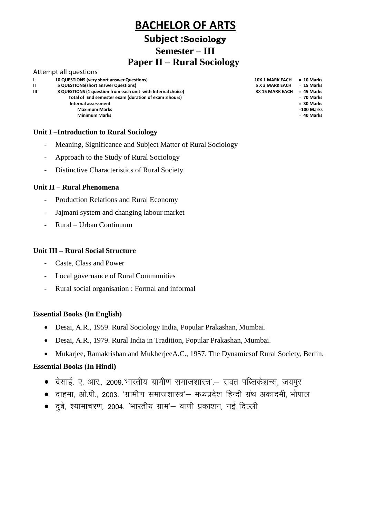### **Subject :Sociology**

**Semester – III**

### **Paper II – Rural Sociology**

#### Attempt all questions

|              | 10 QUESTIONS (very short answer Questions)                   | <b>10X 1 MARK EACH</b> | = 10 Marks   |
|--------------|--------------------------------------------------------------|------------------------|--------------|
| $\mathbf{u}$ | 5 QUESTIONS (short answer Questions)                         | 5 X 3 MARK EACH        | = 15 Marks   |
| Ш            | 3 QUESTIONS (1 question from each unit with Internal choice) | <b>3X 15 MARK EACH</b> | $= 45$ Marks |
|              | Total of End semester exam (duration of exam 3 hours)        |                        | $= 70$ Marks |
|              | Internal assessment                                          |                        | $= 30$ Marks |
|              | <b>Maximum Marks</b>                                         |                        | $=100$ Marks |
|              | <b>Minimum Marks</b>                                         |                        | $= 40$ Marks |
|              |                                                              |                        |              |

#### **Unit I –Introduction to Rural Sociology**

- Meaning, Significance and Subject Matter of Rural Sociology
- Approach to the Study of Rural Sociology
- Distinctive Characteristics of Rural Society.

#### **Unit II – Rural Phenomena**

- Production Relations and Rural Economy
- Jajmani system and changing labour market
- Rural Urban Continuum

#### **Unit III – Rural Social Structure**

- Caste, Class and Power
- Local governance of Rural Communities
- Rural social organisation : Formal and informal

#### **Essential Books (In English)**

- Desai, A.R., 1959. Rural Sociology India, Popular Prakashan, Mumbai.
- Desai, A.R., 1979. Rural India in Tradition, Popular Prakashan, Mumbai.
- Mukarjee, Ramakrishan and MukherjeeA.C., 1957. The Dynamicsof Rural Society, Berlin.

#### **Essential Books (In Hindi)**

- $\bullet$  देसाई, ए. आर., 2009.'भारतीय ग्रामीण समाजशास्त्र',– रावत पब्लिकेशन्स्, जयपूर
- दाहमा, ओ.पी., 2003. 'ग्रामीण समाजशास्त्र'– मध्यप्रदेश हिन्दी ग्रंथ अकादमी, भोपाल
- $\bullet$  दुबे, श्यामाचरण, 2004. 'भारतीय ग्राम'— वाणी प्रकाशन, नई दिल्ली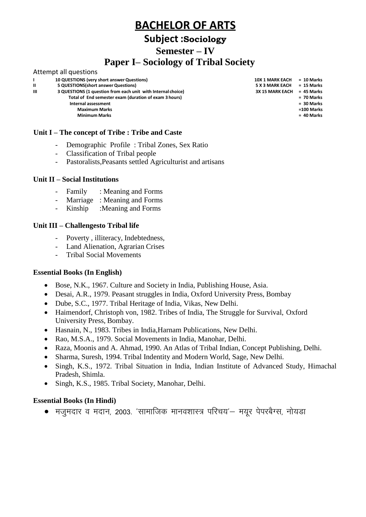## **Subject :Sociology**

**Semester – IV**

### **Paper I– Sociology of Tribal Society**

|              | Attempt all questions                                        |                        |              |
|--------------|--------------------------------------------------------------|------------------------|--------------|
|              | 10 QUESTIONS (very short answer Questions)                   | <b>10X 1 MARK EACH</b> | $= 10$ Marks |
| $\mathbf{u}$ | 5 QUESTIONS (short answer Questions)                         | <b>5 X 3 MARK EACH</b> | $= 15$ Marks |
| ш            | 3 QUESTIONS (1 question from each unit with Internal choice) | <b>3X 15 MARK EACH</b> | $= 45$ Marks |
|              | Total of End semester exam (duration of exam 3 hours)        |                        | $= 70$ Marks |
|              | Internal assessment                                          |                        | $= 30$ Marks |
|              | <b>Maximum Marks</b>                                         |                        | =100 Marks   |
|              | <b>Minimum Marks</b>                                         |                        | $= 40$ Marks |
|              |                                                              |                        |              |

#### **Unit I – The concept of Tribe : Tribe and Caste**

- Demographic Profile : Tribal Zones, Sex Ratio
- Classification of Tribal people<br>- Pastoralists. Peasants settled As
- Pastoralists, Peasants settled Agriculturist and artisans

#### **Unit II – Social Institutions**

- Family : Meaning and Forms
- Marriage : Meaning and Forms
- Kinship :Meaning and Forms

#### **Unit III – Challengesto Tribal life**

- Poverty , illiteracy, Indebtedness,
- Land Alienation, Agrarian Crises
- Tribal Social Movements

#### **Essential Books (In English)**

- Bose, N.K., 1967. Culture and Society in India, Publishing House, Asia.
- Desai, A.R., 1979. Peasant struggles in India, Oxford University Press, Bombay
- Dube, S.C., 1977. Tribal Heritage of India, Vikas, New Delhi.
- Haimendorf, Christoph von, 1982. Tribes of India, The Struggle for Survival, Oxford University Press, Bombay.
- Hasnain, N., 1983. Tribes in India,Harnam Publications, New Delhi.
- Rao, M.S.A., 1979. Social Movements in India, Manohar, Delhi.
- Raza, Moonis and A. Ahmad, 1990. An Atlas of Tribal Indian, Concept Publishing, Delhi.
- Sharma, Suresh, 1994. Tribal Indentity and Modern World, Sage, New Delhi.
- Singh, K.S., 1972. Tribal Situation in India, Indian Institute of Advanced Study, Himachal Pradesh, Shimla.
- Singh, K.S., 1985. Tribal Society, Manohar, Delhi.

#### **Essential Books (In Hindi)**

• मजुमदार व मदान, 2003. 'सामाजिक मानवशास्त्र परिचय'– मयूर पेपरबैग्स, नोयडा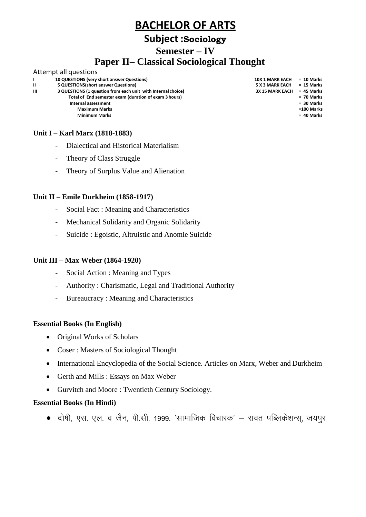### **Subject :Sociology**

**Semester – IV**

## **Paper II– Classical Sociological Thought**

#### Attempt all questions **I II 10 QUESTIONS (very short answerQuestions) 5 QUESTIONS(short answer Questions) III 3 QUESTIONS (1 question from each unit with Internal choice) Total of End semester exam (duration of exam 3 hours) Internal assessment Maximum Marks**

**10X 1 MARK EACH = 10 Marks 5 X 3 MARK EACH = 15 Marks 3X 15 MARK EACH = 45 Marks = 70 Marks = 30 Marks =100 Marks**

### **Unit I – Karl Marx (1818-1883)**

- Dialectical and Historical Materialism
- Theory of Class Struggle

**Minimum Marks = 40 Marks**

- Theory of Surplus Value and Alienation

#### **Unit II – Emile Durkheim (1858-1917)**

- Social Fact : Meaning and Characteristics
- Mechanical Solidarity and Organic Solidarity
- Suicide : Egoistic, Altruistic and Anomie Suicide

#### **Unit III – Max Weber (1864-1920)**

- Social Action : Meaning and Types
- Authority : Charismatic, Legal and Traditional Authority
- Bureaucracy : Meaning and Characteristics

#### **Essential Books (In English)**

- Original Works of Scholars
- Coser : Masters of Sociological Thought
- International Encyclopedia of the Social Science. Articles on Marx, Weber and Durkheim
- Gerth and Mills : Essays on Max Weber
- Gurvitch and Moore : Twentieth Century Sociology.

#### **Essential Books (In Hindi)**

 $\bullet$  दोषी, एस. एल. व जैन, पी.सी. 1999. 'सामाजिक विचारक' — रावत पब्लिकेशन्स, जयपुर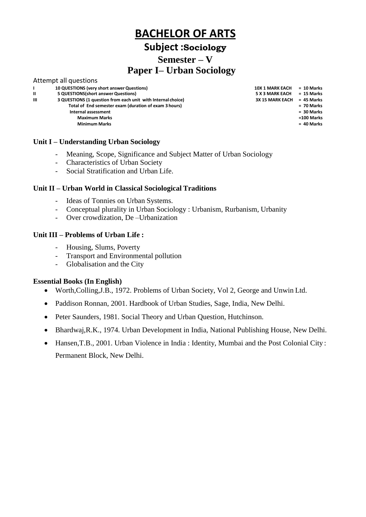### **Subject :Sociology**

### **Semester – V**

## **Paper I– Urban Sociology**

|   | Attempt all questions                                        |                        |              |
|---|--------------------------------------------------------------|------------------------|--------------|
| L | 10 QUESTIONS (very short answer Questions)                   | <b>10X 1 MARK EACH</b> | $= 10$ Marks |
| Ш | 5 QUESTIONS (short answer Questions)                         | <b>5 X 3 MARK EACH</b> | $= 15$ Marks |
| Ш | 3 QUESTIONS (1 question from each unit with Internal choice) | <b>3X 15 MARK EACH</b> | $= 45$ Marks |
|   | Total of End semester exam (duration of exam 3 hours)        |                        | $= 70$ Marks |
|   | Internal assessment                                          |                        | $= 30$ Marks |
|   | <b>Maximum Marks</b>                                         |                        | =100 Marks   |
|   | <b>Minimum Marks</b>                                         |                        | $= 40$ Marks |
|   |                                                              |                        |              |

#### **Unit I – Understanding Urban Sociology**

- Meaning, Scope, Significance and Subject Matter of Urban Sociology
- Characteristics of Urban Society
- Social Stratification and Urban Life.

#### **Unit II – Urban World in Classical Sociological Traditions**

- Ideas of Tonnies on Urban Systems.
- Conceptual plurality in Urban Sociology : Urbanism, Rurbanism, Urbanity
- Over crowdization, De –Urbanization

#### **Unit III – Problems of Urban Life :**

- Housing, Slums, Poverty
- Transport and Environmental pollution
- Globalisation and the City

#### **Essential Books (In English)**

- Worth,Colling,J.B., 1972. Problems of Urban Society, Vol 2, George and Unwin Ltd.
- Paddison Ronnan, 2001. Hardbook of Urban Studies, Sage, India, New Delhi.
- Peter Saunders, 1981. Social Theory and Urban Question, Hutchinson.
- Bhardwaj, R.K., 1974. Urban Development in India, National Publishing House, New Delhi.
- Hansen,T.B., 2001. Urban Violence in India : Identity, Mumbai and the Post Colonial City : Permanent Block, New Delhi.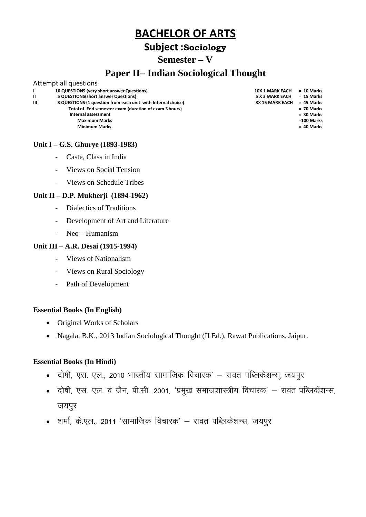### **Subject :Sociology**

### **Semester – V**

### **Paper II– Indian Sociological Thought**

|              | Attempt all questions                                        |                        |              |
|--------------|--------------------------------------------------------------|------------------------|--------------|
|              | 10 QUESTIONS (very short answer Questions)                   | <b>10X 1 MARK EACH</b> | $= 10$ Marks |
| $\mathbf{u}$ | 5 QUESTIONS (short answer Questions)                         | <b>5 X 3 MARK EACH</b> | = 15 Marks   |
| Ш            | 3 QUESTIONS (1 question from each unit with Internal choice) | <b>3X 15 MARK EACH</b> | = 45 Marks   |
|              | Total of End semester exam (duration of exam 3 hours)        |                        | $= 70$ Marks |
|              | Internal assessment                                          |                        | = 30 Marks   |
|              | <b>Maximum Marks</b>                                         |                        | =100 Marks   |
|              | <b>Minimum Marks</b>                                         |                        | $= 40$ Marks |
|              |                                                              |                        |              |

#### **Unit I – G.S. Ghurye (1893-1983)**

- Caste, Class in India
- Views on Social Tension
- Views on Schedule Tribes

#### **Unit II – D.P. Mukherji (1894-1962)**

- Dialectics of Traditions
- Development of Art and Literature
- Neo Humanism

#### **Unit III – A.R. Desai (1915-1994)**

- Views of Nationalism
- Views on Rural Sociology
- Path of Development

#### **Essential Books (In English)**

- Original Works of Scholars
- Nagala, B.K., 2013 Indian Sociological Thought (II Ed.), Rawat Publications, Jaipur.

- दोषी, एस. एल., 2010 भारतीय सामाजिक विचारक' रावत पब्लिकेशन्स, जयपूर
- दोषी, एस. एल. व जैन, पी.सी. 2001, 'प्रमुख समाजशास्त्रीय विचारक' रावत पब्लिकेशन्स, जयपुर
- शर्मा, के.एल., 2011 'सामाजिक विचारक' रावत पब्लिकेशन्स, जयपूर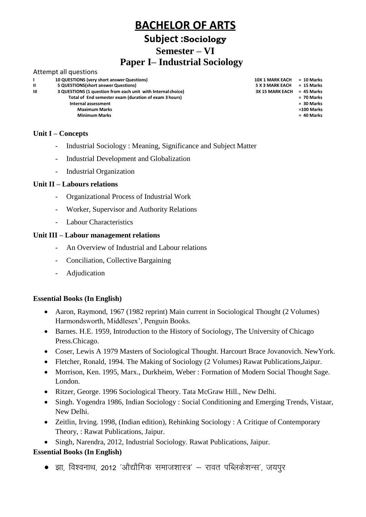# **Subject :Sociology**

**Semester – VI**

# **Paper I– Industrial Sociology**

#### Attempt all questions

| L | 10 QUESTIONS (very short answer Questions)                   | <b>10X 1 MARK EACH</b> | $= 10$ Marks |
|---|--------------------------------------------------------------|------------------------|--------------|
| Ш | 5 QUESTIONS (short answer Questions)                         | <b>5 X 3 MARK EACH</b> | = 15 Marks   |
| ш | 3 QUESTIONS (1 question from each unit with Internal choice) | <b>3X 15 MARK EACH</b> | $= 45$ Marks |
|   | Total of End semester exam (duration of exam 3 hours)        |                        | $= 70$ Marks |
|   | Internal assessment                                          |                        | $= 30$ Marks |
|   | <b>Maximum Marks</b>                                         |                        | =100 Marks   |
|   | <b>Minimum Marks</b>                                         |                        | $= 40$ Marks |
|   |                                                              |                        |              |
|   |                                                              |                        |              |

#### **Unit I – Concepts**

- Industrial Sociology : Meaning, Significance and Subject Matter
- Industrial Development and Globalization
- Industrial Organization

#### **Unit II – Labours relations**

- Organizational Process of Industrial Work
- Worker, Supervisor and Authority Relations
- Labour Characteristics

#### **Unit III – Labour management relations**

- An Overview of Industrial and Labour relations
- Conciliation, Collective Bargaining
- Adjudication

#### **Essential Books (In English)**

- Aaron, Raymond, 1967 (1982 reprint) Main current in Sociological Thought (2 Volumes) Harmondsworth, Middlesex', Penguin Books.
- Barnes. H.E. 1959, Introduction to the History of Sociology, The University of Chicago Press.Chicago.
- Coser, Lewis A 1979 Masters of Sociological Thought. Harcourt Brace Jovanovich. NewYork.
- Fletcher, Ronald, 1994. The Making of Sociology (2 Volumes) Rawat Publications,Jaipur.
- Morrison, Ken. 1995, Marx., Durkheim, Weber : Formation of Modern Social Thought Sage. London.
- Ritzer, George. 1996 Sociological Theory. Tata McGraw Hill., New Delhi.
- Singh. Yogendra 1986, Indian Sociology : Social Conditioning and Emerging Trends, Vistaar, New Delhi.
- Zeitlin, Irving. 1998, (Indian edition), Rehinking Sociology : A Critique of Contemporary Theory, : Rawat Publications, Jaipur.
- Singh, Narendra, 2012, Industrial Sociology. Rawat Publications, Jaipur.

#### **Essential Books (In English)**

• झा. विश्वनाथ. 2012 'औद्यौगिक समाजशास्त्र' — रावत पब्लिकेशन्स'. जयपर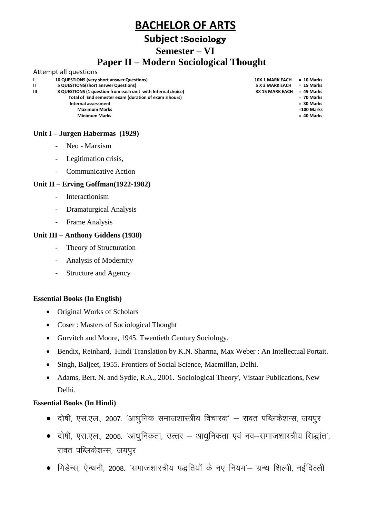### **Subject :Sociology**

### **Semester – VI**

### **Paper II – Modern Sociological Thought**

#### Attempt all questions **I II 10 QUESTIONS (very short answerQuestions) 5 QUESTIONS(short answer Questions) 10X 1 MARK EACH 5 X 3 MARK EACH = 10 Marks = 15 Marks III 3 QUESTIONS (1 question from each unit with Internal choice) Total of End semester exam (duration of exam 3 hours) 3X 15 MARK EACH = 45 Marks = 70 Marks Internal assessment Maximum Marks = 30 Marks =100 Marks Minimum Marks = 40 Marks**

#### **Unit I – Jurgen Habermas (1929)**

- Neo Marxism
- Legitimation crisis,
- Communicative Action

#### **Unit II – Erving Goffman(1922-1982)**

- **Interactionism**
- Dramaturgical Analysis
- Frame Analysis

#### **Unit III – Anthony Giddens (1938)**

- Theory of Structuration
- Analysis of Modernity
- Structure and Agency

#### **Essential Books (In English)**

- Original Works of Scholars
- Coser : Masters of Sociological Thought
- Gurvitch and Moore, 1945. Twentieth Century Sociology.
- Bendix, Reinhard, Hindi Translation by K.N. Sharma, Max Weber : An Intellectual Portait.
- Singh, Baljeet, 1955. Frontiers of Social Science, Macmillan, Delhi.
- Adams, Bert. N. and Sydie, R.A., 2001. 'Sociological Theory', Vistaar Publications, New Delhi.

- दोषी, एस.एल., 2007. 'आधुनिक समाजशास्त्रीय विचारक' रावत पब्लिकेशन्स, जयपूर
- दोषी, एस.एल., 2005. 'आधुनिकता, उत्तर आधुनिकता एवं नव–समाजशास्त्रीय सिद्धांत', रावत पब्लिकेशन्स, जयपुर
- गिडेन्स, ऐन्थनी, 2008. 'समाजशास्त्रीय पद्धतियों के नए नियम'— ग्रन्थ शिल्पी, नईदिल्ली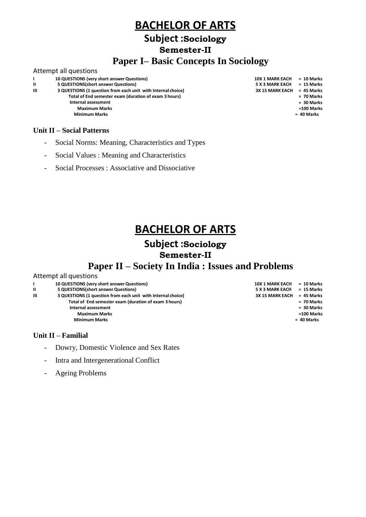### **Subject :Sociology**

**Semester-II**

### **Paper I– Basic Concepts In Sociology**

#### Attempt all questions

|              | 10 QUESTIONS (very short answer Questions)                   | <b>10X 1 MARK EACH</b> | $= 10 N$ |
|--------------|--------------------------------------------------------------|------------------------|----------|
| $\mathbf{I}$ | 5 QUESTIONS (short answer Questions)                         | <b>5 X 3 MARK EACH</b> | $= 15 N$ |
| Ш            | 3 QUESTIONS (1 question from each unit with Internal choice) | <b>3X 15 MARK EACH</b> | $= 45 N$ |
|              | Total of End semester exam (duration of exam 3 hours)        |                        | $= 70 N$ |
|              | Internal assessment                                          |                        | $= 30 N$ |
|              | <b>Maximum Marks</b>                                         |                        | $=100N$  |
|              | <b>Minimum Marks</b>                                         |                        | = 40 Ma  |
|              |                                                              |                        |          |
|              |                                                              |                        |          |

#### **Unit II – Social Patterns**

- Social Norms: Meaning, Characteristics and Types
- Social Values : Meaning and Characteristics
- Social Processes : Associative and Dissociative

#### **= 10 Marks = 15 Marks 3X 15 MARK EACH = 45 Marks = 70 Marks = 30 Marks =100 Marks = 40 Marks**

# **BACHELOR OF ARTS**

### **Subject :Sociology Semester-II**

## **Paper II – Society In India : Issues and Problems**

#### Attempt all questions

| L | 10 QUESTIONS (very short answer Questions)                   | <b>10X 1 MARK EACH</b> | = 10 Marks   |
|---|--------------------------------------------------------------|------------------------|--------------|
| Ш | 5 QUESTIONS (short answer Questions)                         | <b>5 X 3 MARK EACH</b> | = 15 Marks   |
| ш | 3 QUESTIONS (1 question from each unit with Internal choice) | <b>3X 15 MARK EACH</b> | = 45 Marks   |
|   | Total of End semester exam (duration of exam 3 hours)        |                        | $= 70$ Marks |
|   | Internal assessment                                          |                        | $= 30$ Marks |
|   | <b>Maximum Marks</b>                                         |                        | =100 Marks   |
|   | <b>Minimum Marks</b>                                         |                        | = 40 Marks   |
|   |                                                              |                        |              |
|   |                                                              |                        |              |

### **Unit II – Familial**

- Dowry, Domestic Violence and Sex Rates
- Intra and Intergenerational Conflict
- Ageing Problems